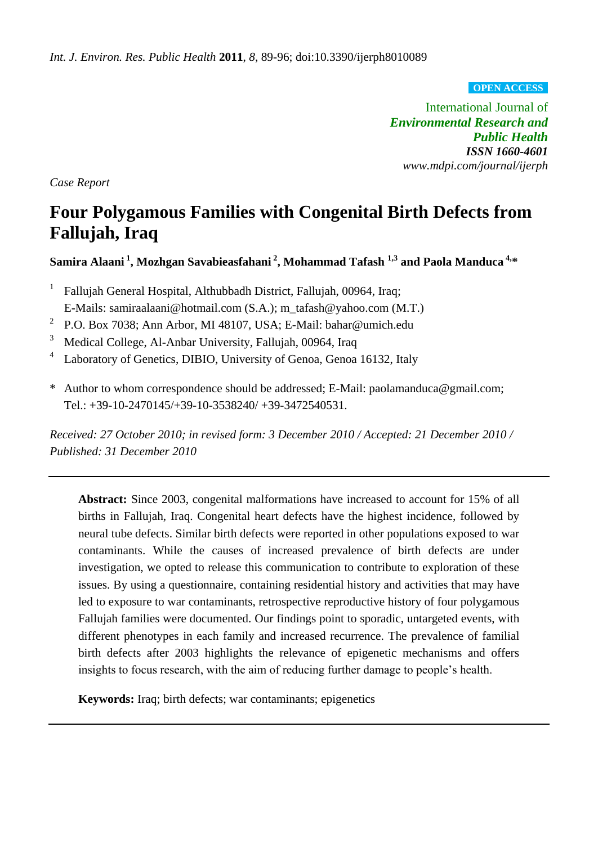**OPEN ACCESS**

International Journal of *Environmental Research and Public Health ISSN 1660-4601 www.mdpi.com/journal/ijerph*

*Case Report* 

# **Four Polygamous Families with Congenital Birth Defects from Fallujah, Iraq**

**Samira Alaani <sup>1</sup> , Mozhgan Savabieasfahani <sup>2</sup> , Mohammad Tafash 1,3 and Paola Manduca 4,\***

- 1 Fallujah General Hospital, Althubbadh District, Fallujah, 00964, Iraq; E-Mails: samiraalaani@hotmail.com (S.A.); m\_tafash@yahoo.com (M.T.)
- 2 P.O. Box 7038; Ann Arbor, MI 48107, USA; E-Mail: bahar@umich.edu
- <sup>3</sup> Medical College, Al-Anbar University, Fallujah, 00964, Iraq
- 4 Laboratory of Genetics, DIBIO, University of Genoa, Genoa 16132, Italy
- \* Author to whom correspondence should be addressed; E-Mail: paolamanduca@gmail.com; Tel.: +39-10-2470145/+39-10-3538240/ +39-3472540531.

*Received: 27 October 2010; in revised form: 3 December 2010 / Accepted: 21 December 2010 / Published: 31 December 2010*

**Abstract:** Since 2003, congenital malformations have increased to account for 15% of all births in Fallujah, Iraq. Congenital heart defects have the highest incidence, followed by neural tube defects. Similar birth defects were reported in other populations exposed to war contaminants. While the causes of increased prevalence of birth defects are under investigation, we opted to release this communication to contribute to exploration of these issues. By using a questionnaire, containing residential history and activities that may have led to exposure to war contaminants, retrospective reproductive history of four polygamous Fallujah families were documented. Our findings point to sporadic, untargeted events, with different phenotypes in each family and increased recurrence. The prevalence of familial birth defects after 2003 highlights the relevance of epigenetic mechanisms and offers insights to focus research, with the aim of reducing further damage to people's health.

**Keywords:** Iraq; birth defects; war contaminants; epigenetics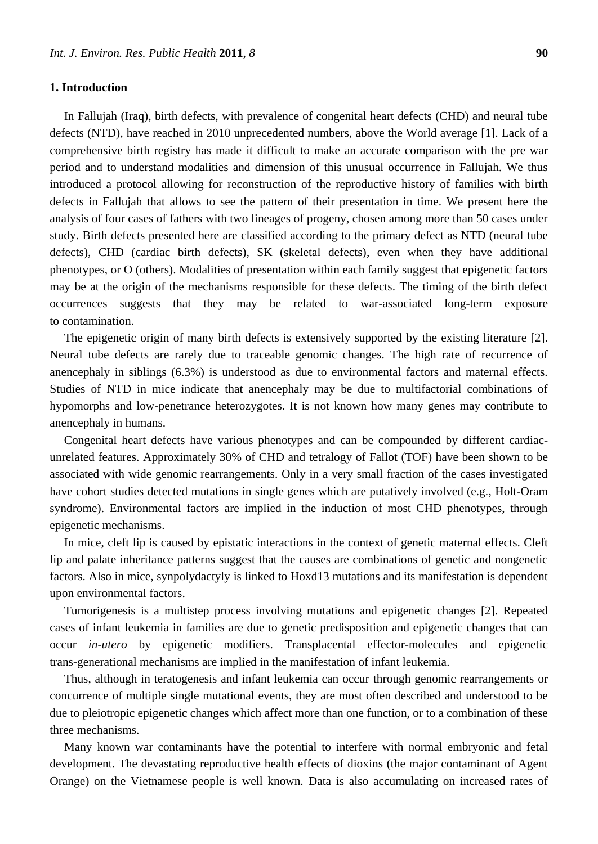#### **1. Introduction**

In Fallujah (Iraq), birth defects, with prevalence of congenital heart defects (CHD) and neural tube defects (NTD), have reached in 2010 unprecedented numbers, above the World average [1]. Lack of a comprehensive birth registry has made it difficult to make an accurate comparison with the pre war period and to understand modalities and dimension of this unusual occurrence in Fallujah. We thus introduced a protocol allowing for reconstruction of the reproductive history of families with birth defects in Fallujah that allows to see the pattern of their presentation in time. We present here the analysis of four cases of fathers with two lineages of progeny, chosen among more than 50 cases under study. Birth defects presented here are classified according to the primary defect as NTD (neural tube defects), CHD (cardiac birth defects), SK (skeletal defects), even when they have additional phenotypes, or O (others). Modalities of presentation within each family suggest that epigenetic factors may be at the origin of the mechanisms responsible for these defects. The timing of the birth defect occurrences suggests that they may be related to war-associated long-term exposure to contamination.

The epigenetic origin of many birth defects is extensively supported by the existing literature [2]. Neural tube defects are rarely due to traceable genomic changes. The high rate of recurrence of anencephaly in siblings (6.3%) is understood as due to environmental factors and maternal effects. Studies of NTD in mice indicate that anencephaly may be due to multifactorial combinations of hypomorphs and low-penetrance heterozygotes. It is not known how many genes may contribute to anencephaly in humans.

Congenital heart defects have various phenotypes and can be compounded by different cardiacunrelated features. Approximately 30% of CHD and tetralogy of Fallot (TOF) have been shown to be associated with wide genomic rearrangements. Only in a very small fraction of the cases investigated have cohort studies detected mutations in single genes which are putatively involved (e.g., Holt-Oram syndrome). Environmental factors are implied in the induction of most CHD phenotypes, through epigenetic mechanisms.

In mice, cleft lip is caused by epistatic interactions in the context of genetic maternal effects. Cleft lip and palate inheritance patterns suggest that the causes are combinations of genetic and nongenetic factors. Also in mice, synpolydactyly is linked to Hoxd13 mutations and its manifestation is dependent upon environmental factors.

Tumorigenesis is a multistep process involving mutations and epigenetic changes [2]. Repeated cases of infant leukemia in families are due to genetic predisposition and epigenetic changes that can occur *in-utero* by epigenetic modifiers. Transplacental effector-molecules and epigenetic trans-generational mechanisms are implied in the manifestation of infant leukemia.

Thus, although in teratogenesis and infant leukemia can occur through genomic rearrangements or concurrence of multiple single mutational events, they are most often described and understood to be due to pleiotropic epigenetic changes which affect more than one function, or to a combination of these three mechanisms.

Many known war contaminants have the potential to interfere with normal embryonic and fetal development. The devastating reproductive health effects of dioxins (the major contaminant of Agent Orange) on the Vietnamese people is well known*.* Data is also accumulating on increased rates of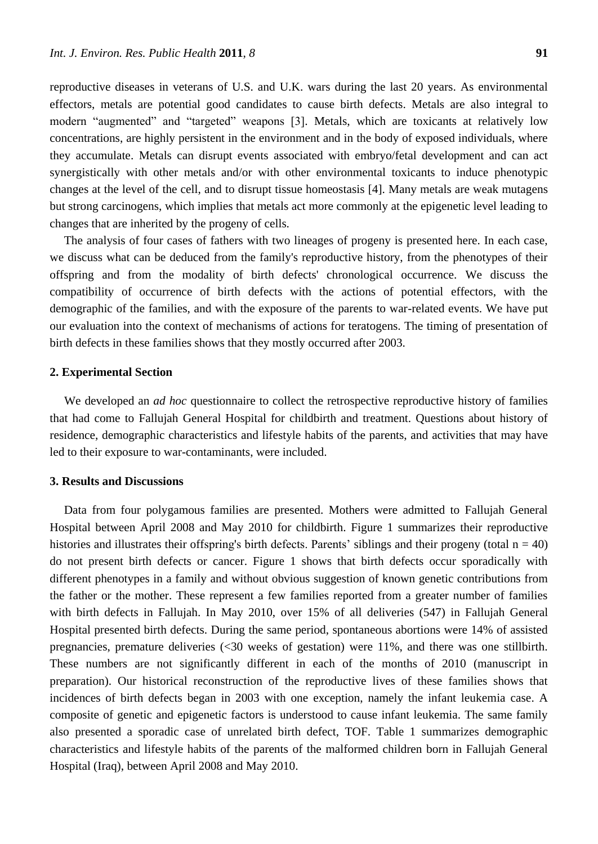reproductive diseases in veterans of U.S. and U.K. wars during the last 20 years. As environmental effectors, metals are potential good candidates to cause birth defects. Metals are also integral to modern "augmented" and "targeted" weapons [3]. Metals, which are toxicants at relatively low concentrations, are highly persistent in the environment and in the body of exposed individuals, where they accumulate. Metals can disrupt events associated with embryo/fetal development and can act synergistically with other metals and/or with other environmental toxicants to induce phenotypic changes at the level of the cell, and to disrupt tissue homeostasis [4]. Many metals are weak mutagens but strong carcinogens, which implies that metals act more commonly at the epigenetic level leading to changes that are inherited by the progeny of cells.

The analysis of four cases of fathers with two lineages of progeny is presented here. In each case, we discuss what can be deduced from the family's reproductive history, from the phenotypes of their offspring and from the modality of birth defects' chronological occurrence. We discuss the compatibility of occurrence of birth defects with the actions of potential effectors, with the demographic of the families, and with the exposure of the parents to war-related events. We have put our evaluation into the context of mechanisms of actions for teratogens. The timing of presentation of birth defects in these families shows that they mostly occurred after 2003.

### **2. Experimental Section**

We developed an *ad hoc* questionnaire to collect the retrospective reproductive history of families that had come to Fallujah General Hospital for childbirth and treatment. Questions about history of residence, demographic characteristics and lifestyle habits of the parents, and activities that may have led to their exposure to war-contaminants, were included.

#### **3. Results and Discussions**

Data from four polygamous families are presented. Mothers were admitted to Fallujah General Hospital between April 2008 and May 2010 for childbirth. Figure 1 summarizes their reproductive histories and illustrates their offspring's birth defects. Parents' siblings and their progeny (total  $n = 40$ ) do not present birth defects or cancer. Figure 1 shows that birth defects occur sporadically with different phenotypes in a family and without obvious suggestion of known genetic contributions from the father or the mother. These represent a few families reported from a greater number of families with birth defects in Fallujah. In May 2010, over 15% of all deliveries (547) in Fallujah General Hospital presented birth defects. During the same period, spontaneous abortions were 14% of assisted pregnancies, premature deliveries (<30 weeks of gestation) were 11%, and there was one stillbirth. These numbers are not significantly different in each of the months of 2010 (manuscript in preparation). Our historical reconstruction of the reproductive lives of these families shows that incidences of birth defects began in 2003 with one exception, namely the infant leukemia case. A composite of genetic and epigenetic factors is understood to cause infant leukemia. The same family also presented a sporadic case of unrelated birth defect, TOF. Table 1 summarizes demographic characteristics and lifestyle habits of the parents of the malformed children born in Fallujah General Hospital (Iraq), between April 2008 and May 2010.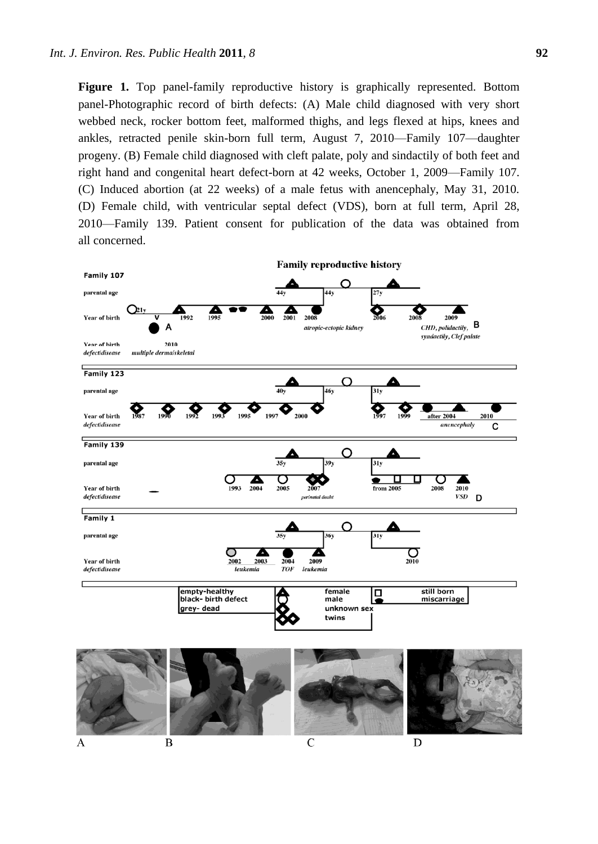**Figure 1.** Top panel-family reproductive history is graphically represented. Bottom panel-Photographic record of birth defects: (A) Male child diagnosed with very short webbed neck, rocker bottom feet, malformed thighs, and legs flexed at hips, knees and ankles, retracted penile skin-born full term, August 7, 2010—Family 107—daughter progeny. (B) Female child diagnosed with cleft palate, poly and sindactily of both feet and right hand and congenital heart defect-born at 42 weeks, October 1, 2009—Family 107. (C) Induced abortion (at 22 weeks) of a male fetus with anencephaly, May 31, 2010. (D) Female child, with ventricular septal defect (VDS), born at full term, April 28, 2010—Family 139. Patient consent for publication of the data was obtained from all concerned.



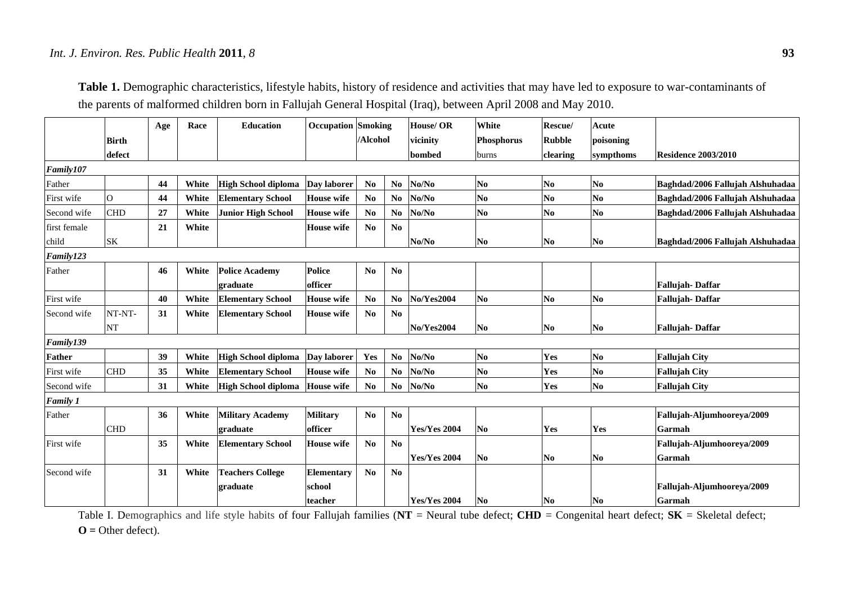|                 |              | Age | Race  | <b>Education</b>           |                   | <b>Occupation</b> Smoking<br>/Alcohol |                        | <b>House/OR</b>     | <b>White</b>      | Rescue/                | Acute          |                                  |
|-----------------|--------------|-----|-------|----------------------------|-------------------|---------------------------------------|------------------------|---------------------|-------------------|------------------------|----------------|----------------------------------|
|                 | <b>Birth</b> |     |       |                            |                   |                                       |                        | vicinity            | <b>Phosphorus</b> | <b>Rubble</b>          | poisoning      |                                  |
|                 | defect       |     |       |                            |                   |                                       |                        | bombed              | burns             | clearing               | sympthoms      | <b>Residence 2003/2010</b>       |
| Family107       |              |     |       |                            |                   |                                       |                        |                     |                   |                        |                |                                  |
| Father          |              | 44  | White | <b>High School diploma</b> | Day laborer       | N <sub>0</sub>                        | No.                    | No/No               | N <sub>o</sub>    | $\mathbf{N}\mathbf{0}$ | N <sub>0</sub> | Baghdad/2006 Fallujah Alshuhadaa |
| First wife      | $\Omega$     | 44  | White | <b>Elementary School</b>   | <b>House</b> wife | N <sub>0</sub>                        | N <sub>0</sub>         | No/No               | N <sub>0</sub>    | N <sub>0</sub>         | N <sub>0</sub> | Baghdad/2006 Fallujah Alshuhadaa |
| Second wife     | <b>CHD</b>   | 27  | White | <b>Junior High School</b>  | <b>House</b> wife | N <sub>0</sub>                        | No.                    | No/No               | N <sub>o</sub>    | $\mathbf{N}\mathbf{0}$ | N <sub>o</sub> | Baghdad/2006 Fallujah Alshuhadaa |
| first female    |              | 21  | White |                            | <b>House</b> wife | N <sub>0</sub>                        | N <sub>0</sub>         |                     |                   |                        |                |                                  |
| child           | SK           |     |       |                            |                   |                                       |                        | No/No               | N <sub>0</sub>    | No                     | No             | Baghdad/2006 Fallujah Alshuhadaa |
| Family123       |              |     |       |                            |                   |                                       |                        |                     |                   |                        |                |                                  |
| Father          |              | 46  | White | <b>Police Academy</b>      | <b>Police</b>     | No.                                   | N <sub>0</sub>         |                     |                   |                        |                |                                  |
|                 |              |     |       | graduate                   | officer           |                                       |                        |                     |                   |                        |                | Fallujah-Daffar                  |
| First wife      |              | 40  | White | <b>Elementary School</b>   | <b>House</b> wife | N <sub>0</sub>                        | N <sub>0</sub>         | <b>No/Yes2004</b>   | N <sub>0</sub>    | N <sub>0</sub>         | N <sub>0</sub> | Fallujah-Daffar                  |
| Second wife     | NT-NT-       | 31  | White | <b>Elementary School</b>   | <b>House</b> wife | N <sub>0</sub>                        | N <sub>0</sub>         |                     |                   |                        |                |                                  |
|                 | NT           |     |       |                            |                   |                                       |                        | No/Yes2004          | N <sub>0</sub>    | N <sub>0</sub>         | N <sub>0</sub> | Fallujah-Daffar                  |
| Family139       |              |     |       |                            |                   |                                       |                        |                     |                   |                        |                |                                  |
| <b>Father</b>   |              | 39  | White | <b>High School diploma</b> | Day laborer       | Yes                                   | N <sub>0</sub>         | No/No               | N <sub>o</sub>    | Yes                    | N <sub>0</sub> | <b>Fallujah City</b>             |
| First wife      | <b>CHD</b>   | 35  | White | <b>Elementary School</b>   | <b>House</b> wife | N <sub>0</sub>                        | N <sub>0</sub>         | No/No               | N <sub>0</sub>    | Yes                    | N <sub>0</sub> | <b>Fallujah City</b>             |
| Second wife     |              | 31  | White | <b>High School diploma</b> | <b>House</b> wife | N <sub>0</sub>                        | N <sub>0</sub>         | No/No               | N <sub>o</sub>    | Yes                    | N <sub>0</sub> | <b>Fallujah City</b>             |
| <b>Family 1</b> |              |     |       |                            |                   |                                       |                        |                     |                   |                        |                |                                  |
| Father          |              | 36  | White | <b>Military Academy</b>    | <b>Military</b>   | N <sub>0</sub>                        | $\mathbf{N}\mathbf{o}$ |                     |                   |                        |                | Fallujah-Aljumhooreya/2009       |
|                 | <b>CHD</b>   |     |       | graduate                   | officer           |                                       |                        | <b>Yes/Yes 2004</b> | N <sub>0</sub>    | Yes                    | Yes            | Garmah                           |
| First wife      |              | 35  | White | <b>Elementary School</b>   | <b>House</b> wife | N <sub>0</sub>                        | <b>No</b>              |                     |                   |                        |                | Fallujah-Aljumhooreya/2009       |
|                 |              |     |       |                            |                   |                                       |                        | <b>Yes/Yes 2004</b> | N <sub>0</sub>    | N <sub>0</sub>         | No             | <b>Garmah</b>                    |
| Second wife     |              | 31  | White | <b>Teachers College</b>    | <b>Elementary</b> | N <sub>0</sub>                        | N <sub>0</sub>         |                     |                   |                        |                |                                  |
|                 |              |     |       | graduate                   | school            |                                       |                        |                     |                   |                        |                | Fallujah-Aljumhooreya/2009       |
|                 |              |     |       |                            | teacher           |                                       |                        | <b>Yes/Yes 2004</b> | $\mathbf{N_0}$    | N <sub>0</sub>         | No             | Garmah                           |

**Table 1.** Demographic characteristics, lifestyle habits, history of residence and activities that may have led to exposure to war-contaminants of the parents of malformed children born in Fallujah General Hospital (Iraq), between April 2008 and May 2010.

Table I. Demographics and life style habits of four Fallujah families ( $NT =$  Neural tube defect;  $CHD =$  Congenital heart defect;  $SK =$  Skeletal defect;  $\mathbf{O} = \text{Other defect}.$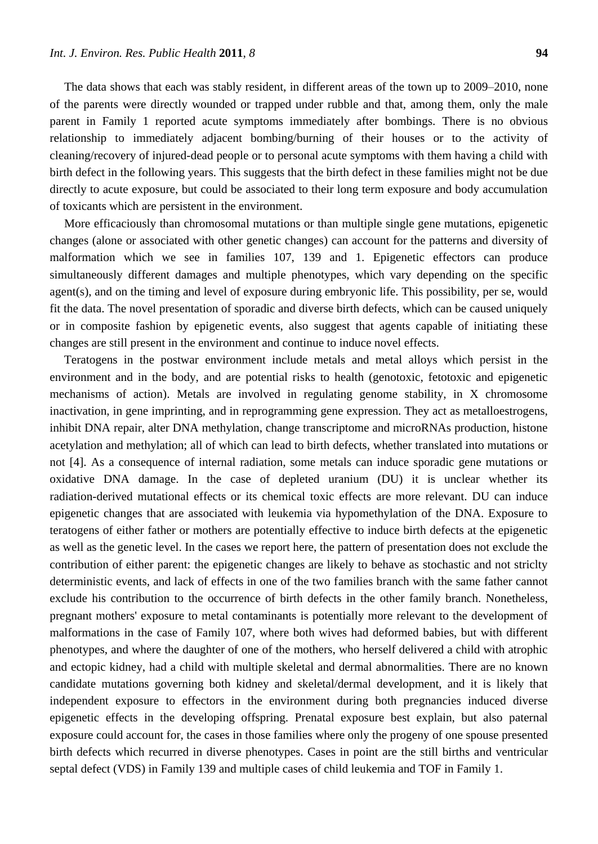The data shows that each was stably resident, in different areas of the town up to 2009–2010, none of the parents were directly wounded or trapped under rubble and that, among them, only the male parent in Family 1 reported acute symptoms immediately after bombings. There is no obvious relationship to immediately adjacent bombing/burning of their houses or to the activity of cleaning/recovery of injured-dead people or to personal acute symptoms with them having a child with birth defect in the following years. This suggests that the birth defect in these families might not be due directly to acute exposure, but could be associated to their long term exposure and body accumulation of toxicants which are persistent in the environment.

More efficaciously than chromosomal mutations or than multiple single gene mutations, epigenetic changes (alone or associated with other genetic changes) can account for the patterns and diversity of malformation which we see in families 107, 139 and 1. Epigenetic effectors can produce simultaneously different damages and multiple phenotypes, which vary depending on the specific agent(s), and on the timing and level of exposure during embryonic life. This possibility, per se, would fit the data. The novel presentation of sporadic and diverse birth defects, which can be caused uniquely or in composite fashion by epigenetic events, also suggest that agents capable of initiating these changes are still present in the environment and continue to induce novel effects.

Teratogens in the postwar environment include metals and metal alloys which persist in the environment and in the body, and are potential risks to health (genotoxic, fetotoxic and epigenetic mechanisms of action). Metals are involved in regulating genome stability, in X chromosome inactivation, in gene imprinting, and in reprogramming gene expression. They act as metalloestrogens, inhibit DNA repair, alter DNA methylation, change transcriptome and microRNAs production, histone acetylation and methylation; all of which can lead to birth defects, whether translated into mutations or not [4]. As a consequence of internal radiation, some metals can induce sporadic gene mutations or oxidative DNA damage. In the case of depleted uranium (DU) it is unclear whether its radiation-derived mutational effects or its chemical toxic effects are more relevant. DU can induce epigenetic changes that are associated with leukemia via hypomethylation of the DNA. Exposure to teratogens of either father or mothers are potentially effective to induce birth defects at the epigenetic as well as the genetic level. In the cases we report here, the pattern of presentation does not exclude the contribution of either parent: the epigenetic changes are likely to behave as stochastic and not striclty deterministic events, and lack of effects in one of the two families branch with the same father cannot exclude his contribution to the occurrence of birth defects in the other family branch. Nonetheless, pregnant mothers' exposure to metal contaminants is potentially more relevant to the development of malformations in the case of Family 107, where both wives had deformed babies, but with different phenotypes, and where the daughter of one of the mothers, who herself delivered a child with atrophic and ectopic kidney, had a child with multiple skeletal and dermal abnormalities. There are no known candidate mutations governing both kidney and skeletal/dermal development, and it is likely that independent exposure to effectors in the environment during both pregnancies induced diverse epigenetic effects in the developing offspring. Prenatal exposure best explain, but also paternal exposure could account for, the cases in those families where only the progeny of one spouse presented birth defects which recurred in diverse phenotypes. Cases in point are the still births and ventricular septal defect (VDS) in Family 139 and multiple cases of child leukemia and TOF in Family 1.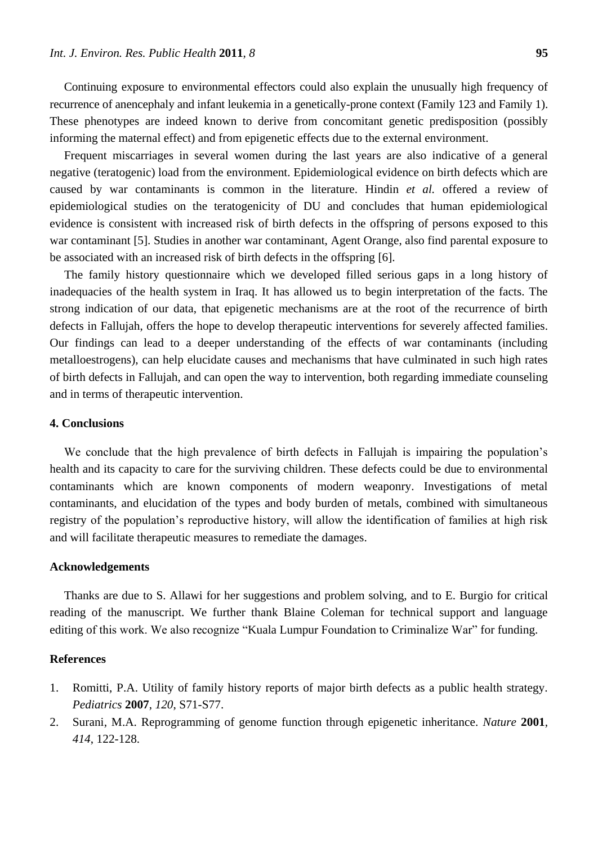Continuing exposure to environmental effectors could also explain the unusually high frequency of recurrence of anencephaly and infant leukemia in a genetically-prone context (Family 123 and Family 1). These phenotypes are indeed known to derive from concomitant genetic predisposition (possibly informing the maternal effect) and from epigenetic effects due to the external environment.

Frequent miscarriages in several women during the last years are also indicative of a general negative (teratogenic) load from the environment. Epidemiological evidence on birth defects which are caused by war contaminants is common in the literature. Hindin *et al.* offered a review of epidemiological studies on the teratogenicity of DU and concludes that human epidemiological evidence is consistent with increased risk of birth defects in the offspring of persons exposed to this war contaminant [5]. Studies in another war contaminant, Agent Orange, also find parental exposure to be associated with an increased risk of birth defects in the offspring [6].

The family history questionnaire which we developed filled serious gaps in a long history of inadequacies of the health system in Iraq. It has allowed us to begin interpretation of the facts. The strong indication of our data, that epigenetic mechanisms are at the root of the recurrence of birth defects in Fallujah, offers the hope to develop therapeutic interventions for severely affected families. Our findings can lead to a deeper understanding of the effects of war contaminants (including metalloestrogens), can help elucidate causes and mechanisms that have culminated in such high rates of birth defects in Fallujah, and can open the way to intervention, both regarding immediate counseling and in terms of therapeutic intervention.

## **4. Conclusions**

We conclude that the high prevalence of birth defects in Fallujah is impairing the population's health and its capacity to care for the surviving children. These defects could be due to environmental contaminants which are known components of modern weaponry. Investigations of metal contaminants, and elucidation of the types and body burden of metals, combined with simultaneous registry of the population's reproductive history, will allow the identification of families at high risk and will facilitate therapeutic measures to remediate the damages.

#### **Acknowledgements**

Thanks are due to S. Allawi for her suggestions and problem solving, and to E. Burgio for critical reading of the manuscript. We further thank Blaine Coleman for technical support and language editing of this work. We also recognize "Kuala Lumpur Foundation to Criminalize War" for funding.

#### **References**

- 1. Romitti, P.A. Utility of family history reports of major birth defects as a public health strategy. *Pediatrics* **2007**, *120*, S71-S77.
- 2. Surani, M.A. Reprogramming of genome function through epigenetic inheritance. *Nature* **2001**, *414*, 122-128.